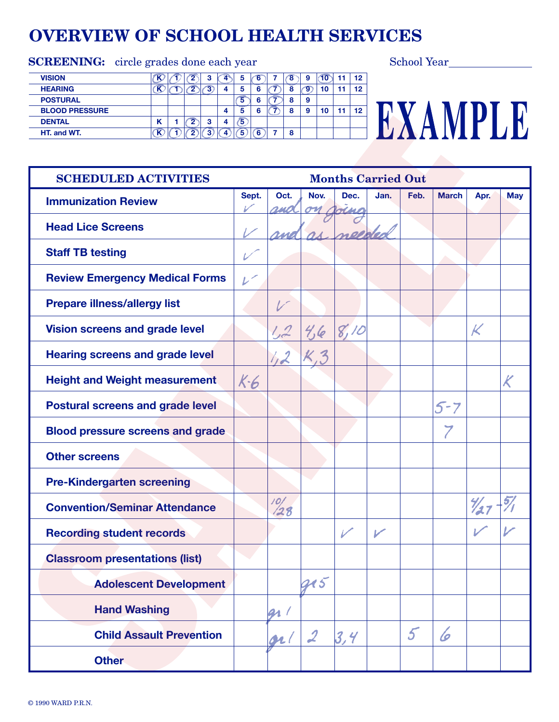# **OVERVIEW OF SCHOOL HEALTH SERVICES**

| <b>SCREENING:</b> circle grades done each year |   |            |                |            |   |    |    |    |         | <b>School Year</b> |
|------------------------------------------------|---|------------|----------------|------------|---|----|----|----|---------|--------------------|
| <b>VISION</b>                                  |   | $\epsilon$ |                | 5          | 6 | Έ8 | 9  | 10 | 12      |                    |
| <b>HEARING</b>                                 |   |            |                |            | 6 |    | ъ, | 10 | $12 \,$ |                    |
| <b>POSTURAL</b>                                |   |            |                |            | 6 | õ  | 9  |    |         |                    |
| <b>BLOOD PRESSURE</b>                          |   |            |                | 5          | 6 | 8  | 9  | 10 | 12      |                    |
| <b>DENTAL</b>                                  | N |            | $\overline{ }$ | $\sqrt{5}$ |   |    |    |    |         |                    |
| HT. and WT.                                    |   |            |                | 5)         | 6 | -8 |    |    |         |                    |
|                                                |   |            |                |            |   |    |    |    |         |                    |

| <b>SCHEDULED ACTIVITIES</b>             | <b>Months Carried Out</b> |                 |                  |                |               |               |              |      |            |  |  |  |  |  |
|-----------------------------------------|---------------------------|-----------------|------------------|----------------|---------------|---------------|--------------|------|------------|--|--|--|--|--|
| <b>Immunization Review</b>              | Sept.                     | Oct.            | Nov.             | Dec.           | Jan.          | Feb.          | <b>March</b> | Apr. | <b>May</b> |  |  |  |  |  |
| <b>Head Lice Screens</b>                |                           |                 |                  |                |               |               |              |      |            |  |  |  |  |  |
| <b>Staff TB testing</b>                 |                           |                 |                  |                |               |               |              |      |            |  |  |  |  |  |
| <b>Review Emergency Medical Forms</b>   | $\mathcal{L}^{\times}$    |                 |                  |                |               |               |              |      |            |  |  |  |  |  |
| <b>Prepare illness/allergy list</b>     |                           |                 |                  |                |               |               |              |      |            |  |  |  |  |  |
| <b>Vision screens and grade level</b>   |                           | ليهرا           | 4/6              | 8,10           |               |               |              | К    |            |  |  |  |  |  |
| <b>Hearing screens and grade level</b>  |                           |                 |                  |                |               |               |              |      |            |  |  |  |  |  |
| <b>Height and Weight measurement</b>    | K6                        |                 |                  |                |               |               |              |      |            |  |  |  |  |  |
| <b>Postural screens and grade level</b> |                           |                 |                  |                |               |               | $5 - 7$      |      |            |  |  |  |  |  |
| <b>Blood pressure screens and grade</b> |                           |                 |                  |                |               |               |              |      |            |  |  |  |  |  |
| <b>Other screens</b>                    |                           |                 |                  |                |               |               |              |      |            |  |  |  |  |  |
| <b>Pre-Kindergarten screening</b>       |                           |                 |                  |                |               |               |              |      |            |  |  |  |  |  |
| <b>Convention/Seminar Attendance</b>    |                           | $\frac{10}{28}$ |                  |                |               |               |              |      |            |  |  |  |  |  |
| <b>Recording student records</b>        |                           |                 |                  | $\overline{V}$ | $\mathcal{V}$ |               |              |      |            |  |  |  |  |  |
| <b>Classroom presentations (list)</b>   |                           |                 |                  |                |               |               |              |      |            |  |  |  |  |  |
| <b>Adolescent Development</b>           |                           |                 | <b>a15</b>       |                |               |               |              |      |            |  |  |  |  |  |
| <b>Hand Washing</b>                     |                           | gr /            |                  |                |               |               |              |      |            |  |  |  |  |  |
| <b>Child Assault Prevention</b>         |                           | orl             | $\boldsymbol{2}$ | 3,4            |               | $\mathcal{L}$ | 6            |      |            |  |  |  |  |  |
| <b>Other</b>                            |                           |                 |                  |                |               |               |              |      |            |  |  |  |  |  |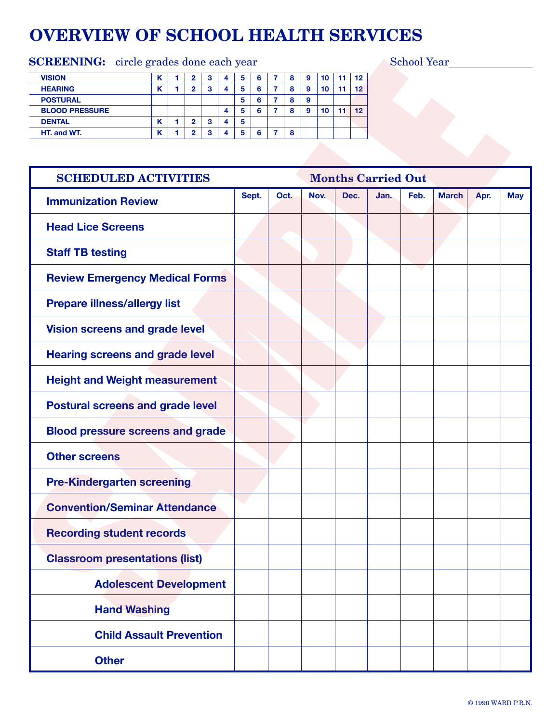# **OVERVIEW OF SCHOOL HEALTH SERVICES**

### SCREENING: circle grades done each year School Year School Year

| <b>VISION</b>         |   |   | З | 4 | 5 | 6 | 8 | 9 | 10 | 12 |
|-----------------------|---|---|---|---|---|---|---|---|----|----|
| <b>HEARING</b>        | " | ∘ | 3 |   | 5 | 6 | 8 | 9 | 10 | 12 |
| <b>POSTURAL</b>       |   |   |   |   | 5 | հ | 8 | 9 |    |    |
| <b>BLOOD PRESSURE</b> |   |   |   | 4 | 5 | 6 | 8 | 9 | 10 | 12 |
| <b>DENTAL</b>         | " | ∘ | 3 |   | 5 |   |   |   |    |    |
| HT, and WT.           | n |   | 3 |   | 5 | 6 | 8 |   |    |    |
|                       |   |   |   |   |   |   |   |   |    |    |

| <b>SCHEDULED ACTIVITIES</b>             |       | <b>Months Carried Out</b> |      |      |      |      |              |      |            |  |  |  |  |
|-----------------------------------------|-------|---------------------------|------|------|------|------|--------------|------|------------|--|--|--|--|
| <b>Immunization Review</b>              | Sept. | Oct.                      | Nov. | Dec. | Jan. | Feb. | <b>March</b> | Apr. | <b>May</b> |  |  |  |  |
| <b>Head Lice Screens</b>                |       |                           |      |      |      |      |              |      |            |  |  |  |  |
| <b>Staff TB testing</b>                 |       |                           |      |      |      |      |              |      |            |  |  |  |  |
| <b>Review Emergency Medical Forms</b>   |       |                           |      |      |      |      |              |      |            |  |  |  |  |
| <b>Prepare illness/allergy list</b>     |       |                           |      |      |      |      |              |      |            |  |  |  |  |
| <b>Vision screens and grade level</b>   |       |                           |      |      |      |      |              |      |            |  |  |  |  |
| <b>Hearing screens and grade level</b>  |       |                           |      |      |      |      |              |      |            |  |  |  |  |
| <b>Height and Weight measurement</b>    |       |                           |      |      |      |      |              |      |            |  |  |  |  |
| <b>Postural screens and grade level</b> |       |                           |      |      |      |      |              |      |            |  |  |  |  |
| <b>Blood pressure screens and grade</b> |       |                           |      |      |      |      |              |      |            |  |  |  |  |
| <b>Other screens</b>                    |       |                           |      |      |      |      |              |      |            |  |  |  |  |
| <b>Pre-Kindergarten screening</b>       |       |                           |      |      |      |      |              |      |            |  |  |  |  |
| <b>Convention/Seminar Attendance</b>    |       |                           |      |      |      |      |              |      |            |  |  |  |  |
| <b>Recording student records</b>        |       |                           |      |      |      |      |              |      |            |  |  |  |  |
| <b>Classroom presentations (list)</b>   |       |                           |      |      |      |      |              |      |            |  |  |  |  |
| <b>Adolescent Development</b>           |       |                           |      |      |      |      |              |      |            |  |  |  |  |
| <b>Hand Washing</b>                     |       |                           |      |      |      |      |              |      |            |  |  |  |  |
| <b>Child Assault Prevention</b>         |       |                           |      |      |      |      |              |      |            |  |  |  |  |
| <b>Other</b>                            |       |                           |      |      |      |      |              |      |            |  |  |  |  |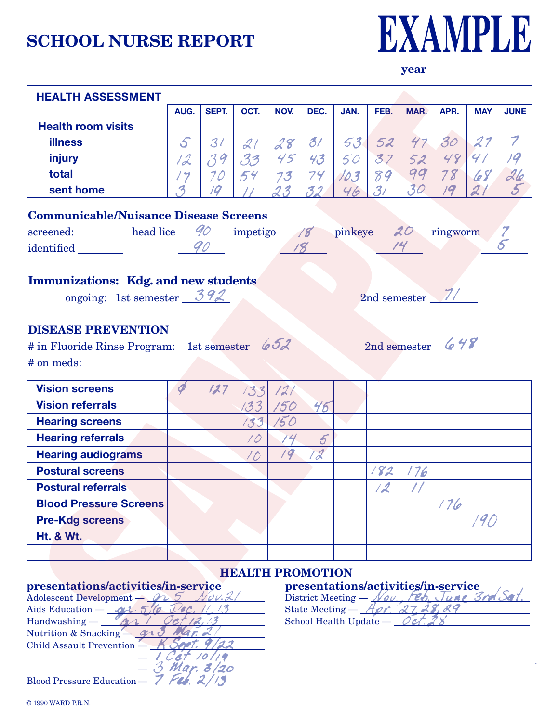### **SCHOOL NURSE REPORT**



**year** 

| <b>HEALTH ASSESSMENT</b>                                                                                       |                          |                |           |              |                      |      |                |      |      |            |             |  |  |  |
|----------------------------------------------------------------------------------------------------------------|--------------------------|----------------|-----------|--------------|----------------------|------|----------------|------|------|------------|-------------|--|--|--|
|                                                                                                                | AUG.                     | SEPT.          | OCT.      | NOV.         | DEC.                 | JAN. | FEB.           | MAR. | APR. | <b>MAY</b> | <b>JUNE</b> |  |  |  |
| <b>Health room visits</b>                                                                                      |                          |                |           |              |                      |      |                |      |      |            |             |  |  |  |
| <b>illness</b>                                                                                                 | $\mathcal{S}$            | 3 <sub>l</sub> |           | $28^{\circ}$ | 3/                   | 53   | 52             | 47   | 30   | 27         |             |  |  |  |
| injury                                                                                                         | $\overline{\mathcal{L}}$ | 39             | 33        | 45           | 43                   | 50   | 37             | 52   | 48   | 4/         | 19          |  |  |  |
| total                                                                                                          |                          | 70             | 54        | 73           | 74                   | 10.3 | 89             | 99   | 78   | 68         |             |  |  |  |
| sent home                                                                                                      | я                        | 19             |           | 23           | 32                   | 46   | 31             | 30   | 19   |            |             |  |  |  |
| <b>Communicable/Nuisance Disease Screens</b>                                                                   |                          |                |           |              |                      |      |                |      |      |            |             |  |  |  |
|                                                                                                                |                          |                |           |              |                      |      |                |      |      |            |             |  |  |  |
| screened: head lice 40 impetigo 18 pinkeye 20 ringworm 7<br>18<br>identified                                   |                          |                |           |              |                      |      |                |      |      |            |             |  |  |  |
| <b>DISEASE PREVENTION</b><br>2nd semester $648$<br># in Fluoride Rinse Program: 1st semester 652<br># on meds: |                          |                |           |              |                      |      |                |      |      |            |             |  |  |  |
|                                                                                                                |                          |                |           |              |                      |      |                |      |      |            |             |  |  |  |
| <b>Vision screens</b>                                                                                          |                          |                |           |              |                      |      |                |      |      |            |             |  |  |  |
| <b>Vision referrals</b>                                                                                        |                          | 127            | 133       | 121          |                      |      |                |      |      |            |             |  |  |  |
|                                                                                                                |                          |                | 133       | 150          | 46                   |      |                |      |      |            |             |  |  |  |
| <b>Hearing screens</b><br><b>Hearing referrals</b>                                                             |                          |                | 133<br>10 | 150<br>14    |                      |      |                |      |      |            |             |  |  |  |
|                                                                                                                |                          |                |           | 19           | $\overline{5}$<br>12 |      |                |      |      |            |             |  |  |  |
| <b>Hearing audiograms</b><br><b>Postural screens</b>                                                           |                          |                | 10        |              |                      |      | 182            |      |      |            |             |  |  |  |
| <b>Postural referrals</b>                                                                                      |                          |                |           |              |                      |      |                | 176  |      |            |             |  |  |  |
| <b>Blood Pressure Screens</b>                                                                                  |                          |                |           |              |                      |      | $\overline{2}$ |      |      |            |             |  |  |  |
| <b>Pre-Kdg screens</b>                                                                                         |                          |                |           |              |                      |      |                |      | 176  |            |             |  |  |  |
| <b>Ht. &amp; Wt.</b>                                                                                           |                          |                |           |              |                      |      |                |      |      | 90         |             |  |  |  |
|                                                                                                                |                          |                |           |              |                      |      |                |      |      |            |             |  |  |  |

| Adolescent Development — $\mathscr{D}$      | District Meeting — $\mathcal{N}$ ov     |
|---------------------------------------------|-----------------------------------------|
| Aids Education — $\overline{\mathcal{M}}$ . | State Meeting $ \overline{\phantom{a}}$ |
| Handwashing -                               | School Health Update -                  |
| Nutrition & Snacking-                       |                                         |
| Child Assault Prevention -                  |                                         |
|                                             |                                         |
| Mar. a                                      |                                         |
|                                             |                                         |

| State Meeting $-\frac{A\rho r}{27}$ , 27, 28, 29 |  |  |
|--------------------------------------------------|--|--|
| School Health Update $-\angle$ Oct. 28           |  |  |
|                                                  |  |  |

Blood Pressure Education —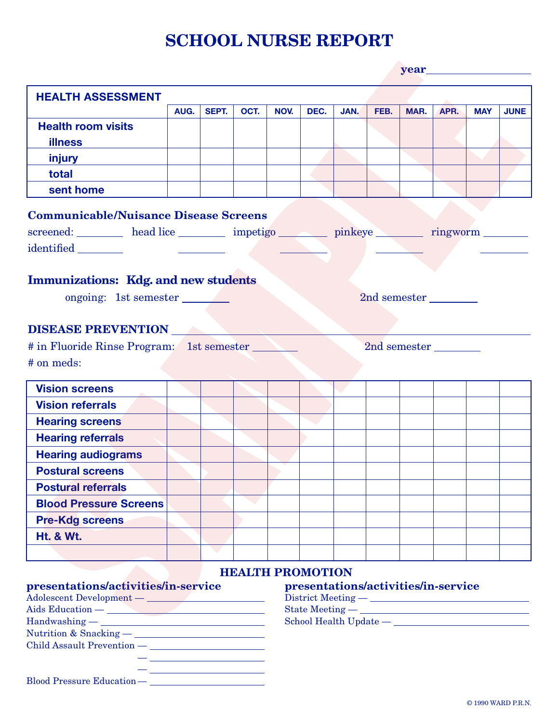## **SCHOOL NURSE REPORT**

| <b>HEALTH ASSESSMENT</b>                                                |      |       |      |                                                               |                         |      |      |      |                                     |            |             |  |  |  |  |  |
|-------------------------------------------------------------------------|------|-------|------|---------------------------------------------------------------|-------------------------|------|------|------|-------------------------------------|------------|-------------|--|--|--|--|--|
|                                                                         | AUG. | SEPT. | OCT. | NOV.                                                          | DEC.                    | JAN. | FEB. | MAR. | APR.                                | <b>MAY</b> | <b>JUNE</b> |  |  |  |  |  |
| <b>Health room visits</b>                                               |      |       |      |                                                               |                         |      |      |      |                                     |            |             |  |  |  |  |  |
| <b>illness</b>                                                          |      |       |      |                                                               |                         |      |      |      |                                     |            |             |  |  |  |  |  |
| injury                                                                  |      |       |      |                                                               |                         |      |      |      |                                     |            |             |  |  |  |  |  |
| total                                                                   |      |       |      |                                                               |                         |      |      |      |                                     |            |             |  |  |  |  |  |
| sent home                                                               |      |       |      |                                                               |                         |      |      |      |                                     |            |             |  |  |  |  |  |
| <b>Communicable/Nuisance Disease Screens</b>                            |      |       |      |                                                               |                         |      |      |      |                                     |            |             |  |  |  |  |  |
|                                                                         |      |       |      |                                                               |                         |      |      |      |                                     |            |             |  |  |  |  |  |
|                                                                         |      |       |      | screened: head lice impetigo pinkeye imports in the screened: |                         |      |      |      |                                     |            |             |  |  |  |  |  |
|                                                                         |      |       |      |                                                               |                         |      |      |      |                                     |            |             |  |  |  |  |  |
|                                                                         |      |       |      |                                                               |                         |      |      |      |                                     |            |             |  |  |  |  |  |
| <b>Immunizations:</b> Kdg. and new students                             |      |       |      |                                                               |                         |      |      |      |                                     |            |             |  |  |  |  |  |
| ongoing: 1st semester                                                   |      |       |      |                                                               |                         |      |      |      | 2nd semester                        |            |             |  |  |  |  |  |
|                                                                         |      |       |      |                                                               |                         |      |      |      |                                     |            |             |  |  |  |  |  |
| <b>DISEASE PREVENTION</b>                                               |      |       |      |                                                               |                         |      |      |      |                                     |            |             |  |  |  |  |  |
|                                                                         |      |       |      |                                                               |                         |      |      |      |                                     |            |             |  |  |  |  |  |
|                                                                         |      |       |      |                                                               |                         |      |      |      |                                     |            |             |  |  |  |  |  |
| # in Fluoride Rinse Program: 1st semester<br>2nd semester<br># on meds: |      |       |      |                                                               |                         |      |      |      |                                     |            |             |  |  |  |  |  |
| <b>Vision screens</b>                                                   |      |       |      |                                                               |                         |      |      |      |                                     |            |             |  |  |  |  |  |
| <b>Vision referrals</b>                                                 |      |       |      |                                                               |                         |      |      |      |                                     |            |             |  |  |  |  |  |
| <b>Hearing screens</b>                                                  |      |       |      |                                                               |                         |      |      |      |                                     |            |             |  |  |  |  |  |
| <b>Hearing referrals</b>                                                |      |       |      |                                                               |                         |      |      |      |                                     |            |             |  |  |  |  |  |
| <b>Hearing audiograms</b>                                               |      |       |      |                                                               |                         |      |      |      |                                     |            |             |  |  |  |  |  |
| <b>Postural screens</b>                                                 |      |       |      |                                                               |                         |      |      |      |                                     |            |             |  |  |  |  |  |
| <b>Postural referrals</b>                                               |      |       |      |                                                               |                         |      |      |      |                                     |            |             |  |  |  |  |  |
| <b>Blood Pressure Screens</b>                                           |      |       |      |                                                               |                         |      |      |      |                                     |            |             |  |  |  |  |  |
| <b>Pre-Kdg screens</b>                                                  |      |       |      |                                                               |                         |      |      |      |                                     |            |             |  |  |  |  |  |
|                                                                         |      |       |      |                                                               |                         |      |      |      |                                     |            |             |  |  |  |  |  |
| <b>Ht. &amp; Wt.</b>                                                    |      |       |      |                                                               |                         |      |      |      |                                     |            |             |  |  |  |  |  |
|                                                                         |      |       |      |                                                               |                         |      |      |      |                                     |            |             |  |  |  |  |  |
|                                                                         |      |       |      |                                                               | <b>HEALTH PROMOTION</b> |      |      |      |                                     |            |             |  |  |  |  |  |
|                                                                         |      |       |      |                                                               |                         |      |      |      |                                     |            |             |  |  |  |  |  |
|                                                                         |      |       |      |                                                               |                         |      |      |      | presentations/activities/in-service |            |             |  |  |  |  |  |
|                                                                         |      |       |      |                                                               |                         |      |      |      |                                     |            |             |  |  |  |  |  |
|                                                                         |      |       |      |                                                               |                         |      |      |      |                                     |            |             |  |  |  |  |  |
|                                                                         |      |       |      |                                                               |                         |      |      |      |                                     |            |             |  |  |  |  |  |
| presentations/activities/in-service<br>$\text{Handwashing} \text{---}$  |      |       |      |                                                               |                         |      |      |      |                                     |            |             |  |  |  |  |  |

— Blood Pressure Education —